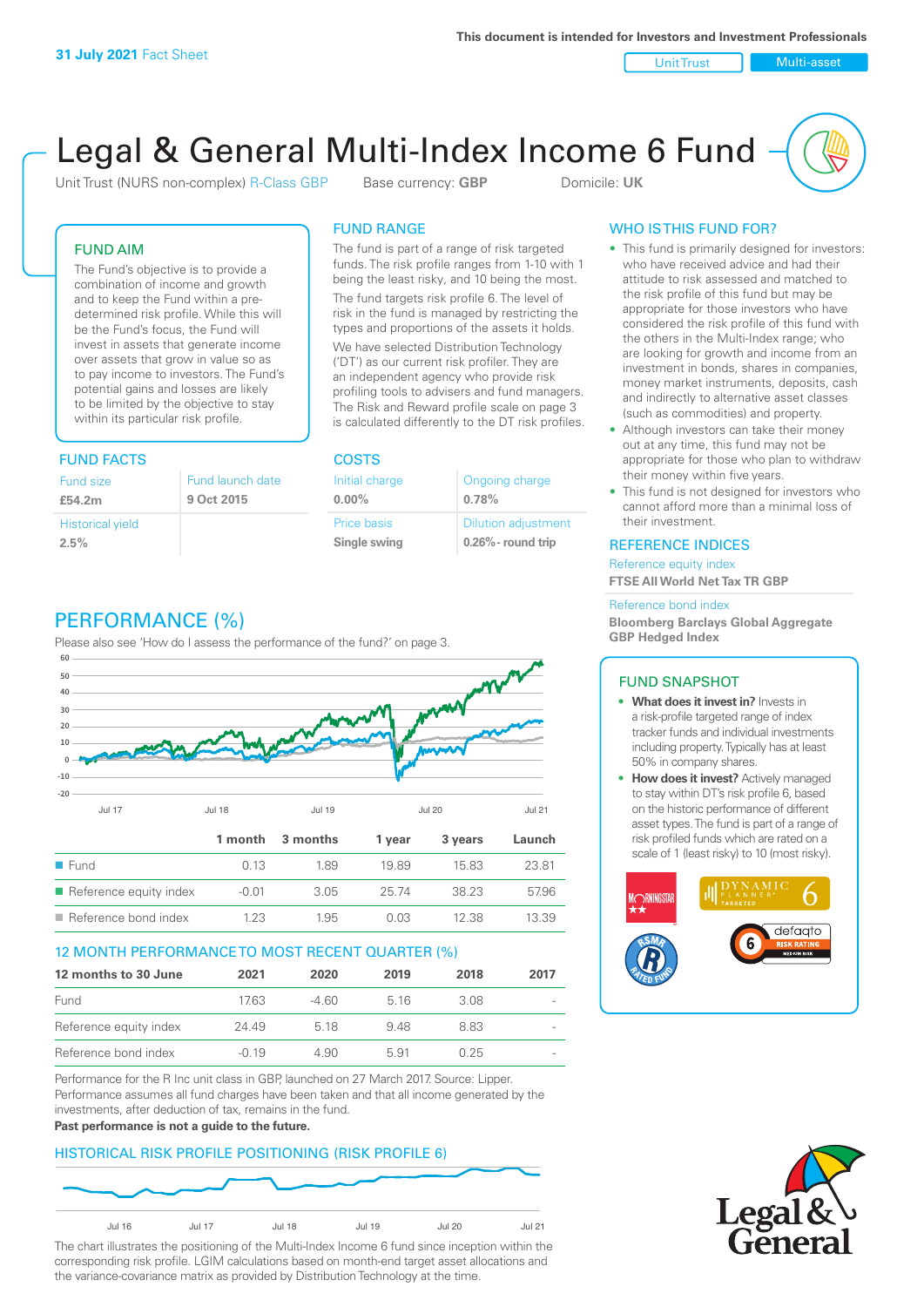Unit Trust Nulti-asset

# Legal & General Multi-Index Income 6 Fund

Unit Trust (NURS non-complex) R-Class GBP Base currency: **GBP** Domicile: UK

The fund is part of a range of risk targeted funds. The risk profile ranges from 1-10 with 1 being the least risky, and 10 being the most. The fund targets risk profile 6. The level of risk in the fund is managed by restricting the types and proportions of the assets it holds. We have selected Distribution Technology ('DT') as our current risk profiler. They are an independent agency who provide risk profiling tools to advisers and fund managers. The Risk and Reward profile scale on page 3 is calculated differently to the DT risk profiles.

FUND RANGE

Initial charge **0.00%**

Price basis **Single swing**

Ongoing charge

Dilution adjustment **0.26% - round trip**

**0.78%**

#### FUND AIM

The Fund's objective is to provide a combination of income and growth and to keep the Fund within a predetermined risk profile. While this will be the Fund's focus, the Fund will invest in assets that generate income over assets that grow in value so as to pay income to investors. The Fund's potential gains and losses are likely to be limited by the objective to stay within its particular risk profile.

### FUND FACTS COSTS

| Fund size<br>£54.2m     | Fund launch date<br>9 Oct 2015 |
|-------------------------|--------------------------------|
| <b>Historical yield</b> |                                |
| 2.5%                    |                                |

# PERFORMANCE (%)

Please also see 'How do I assess the performance of the fund?' on page 3.



#### 12 MONTH PERFORMANCE TO MOST RECENT QUARTER (%)

| 12 months to 30 June   | 2021    | 2020  | 2019 | 2018 | 2017 |
|------------------------|---------|-------|------|------|------|
| Fund                   | 17.63   | -4.60 | 516  | 3.08 |      |
| Reference equity index | 24.49   | 5 18  | 948  | 883  |      |
| Reference bond index   | $-0.19$ | 4.90  | 5.91 | 0.25 |      |

Performance for the R Inc unit class in GBP, launched on 27 March 2017. Source: Lipper. Performance assumes all fund charges have been taken and that all income generated by the investments, after deduction of tax, remains in the fund.

#### **Past performance is not a guide to the future.**

#### HISTORICAL RISK PROFILE POSITIONING (RISK PROFILE 6)



The chart illustrates the positioning of the Multi-Index Income 6 fund since inception within the corresponding risk profile. LGIM calculations based on month-end target asset allocations and the variance-covariance matrix as provided by Distribution Technology at the time.

### WHO IS THIS FUND FOR?

- This fund is primarily designed for investors: who have received advice and had their attitude to risk assessed and matched to the risk profile of this fund but may be appropriate for those investors who have considered the risk profile of this fund with the others in the Multi-Index range; who are looking for growth and income from an investment in bonds, shares in companies, money market instruments, deposits, cash and indirectly to alternative asset classes (such as commodities) and property.
- Although investors can take their money out at any time, this fund may not be appropriate for those who plan to withdraw their money within five years.
- This fund is not designed for investors who cannot afford more than a minimal loss of their investment.

#### REFERENCE INDICES

Reference equity index **FTSE All World Net Tax TR GBP**

#### Reference bond index

**Bloomberg Barclays Global Aggregate GBP Hedged Index**

#### FUND SNAPSHOT

- **• What does it invest in?** Invests in a risk-profile targeted range of index tracker funds and individual investments including property. Typically has at least 50% in company shares.
- **• How does it invest?** Actively managed to stay within DT's risk profile 6, based on the historic performance of different asset types. The fund is part of a range of risk profiled funds which are rated on a scale of 1 (least risky) to 10 (most risky).



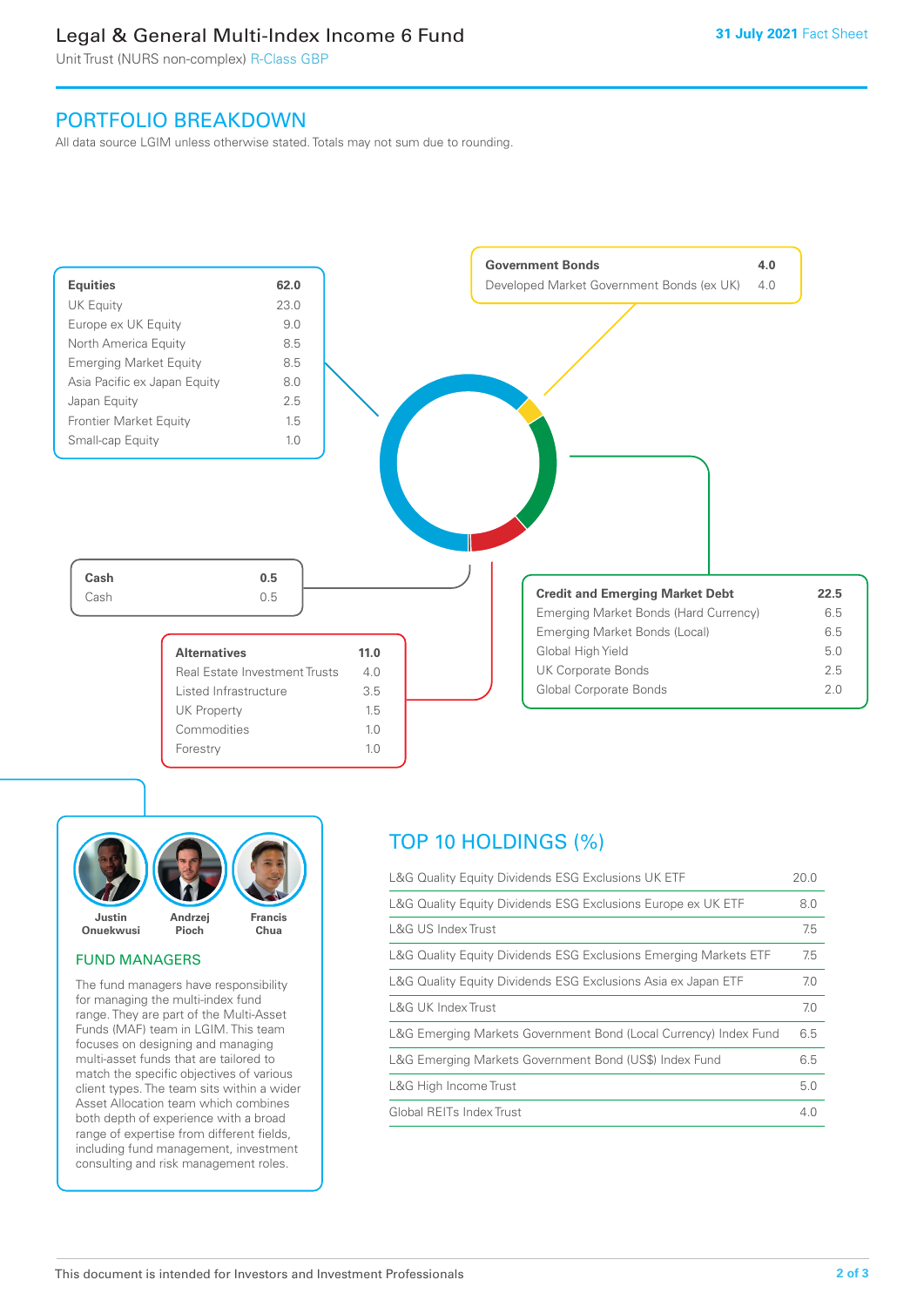## Legal & General Multi-Index Income 6 Fund

Unit Trust (NURS non-complex) R-Class GBP

## PORTFOLIO BREAKDOWN

All data source LGIM unless otherwise stated. Totals may not sum due to rounding.





#### FUND MANAGERS

The fund managers have responsibility for managing the multi-index fund range. They are part of the Multi-Asset Funds (MAF) team in LGIM. This team focuses on designing and managing multi-asset funds that are tailored to match the specific objectives of various client types. The team sits within a wider Asset Allocation team which combines both depth of experience with a broad range of expertise from different fields, including fund management, investment consulting and risk management roles.

# TOP 10 HOLDINGS (%)

| L&G Quality Equity Dividends ESG Exclusions UK ETF               | 20.0 |
|------------------------------------------------------------------|------|
| L&G Quality Equity Dividends ESG Exclusions Europe ex UK ETF     | 8.0  |
| L&G US Index Trust                                               | 7.5  |
| L&G Quality Equity Dividends ESG Exclusions Emerging Markets ETF | 7.5  |
| L&G Quality Equity Dividends ESG Exclusions Asia ex Japan ETF    | 7.0  |
| L&G UK Index Trust                                               | 7.0  |
| L&G Emerging Markets Government Bond (Local Currency) Index Fund | 6.5  |
| L&G Emerging Markets Government Bond (US\$) Index Fund           | 6.5  |
| L&G High Income Trust                                            | 5.0  |
| Global REITs Index Trust                                         | 4.0  |